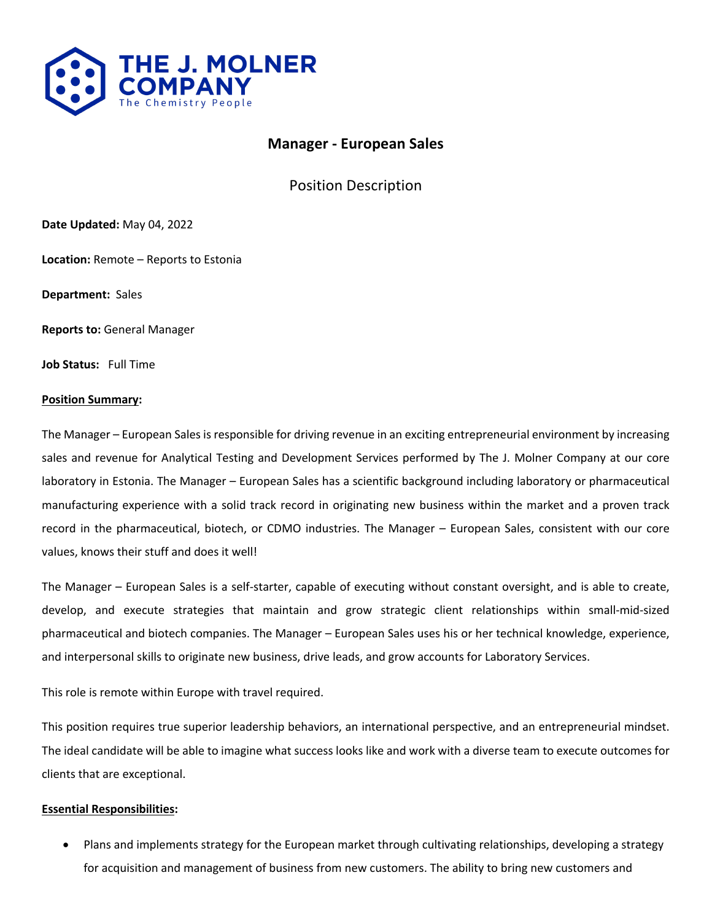

# **Manager - European Sales**

Position Description

**Date Updated:** May 04, 2022

**Location:** Remote – Reports to Estonia

**Department:** Sales

**Reports to:** General Manager

**Job Status:** Full Time

#### **Position Summary:**

The Manager – European Sales is responsible for driving revenue in an exciting entrepreneurial environment by increasing sales and revenue for Analytical Testing and Development Services performed by The J. Molner Company at our core laboratory in Estonia. The Manager – European Sales has a scientific background including laboratory or pharmaceutical manufacturing experience with a solid track record in originating new business within the market and a proven track record in the pharmaceutical, biotech, or CDMO industries. The Manager – European Sales, consistent with our core values, knows their stuff and does it well!

The Manager – European Sales is a self-starter, capable of executing without constant oversight, and is able to create, develop, and execute strategies that maintain and grow strategic client relationships within small-mid-sized pharmaceutical and biotech companies. The Manager – European Sales uses his or her technical knowledge, experience, and interpersonal skills to originate new business, drive leads, and grow accounts for Laboratory Services.

This role is remote within Europe with travel required.

This position requires true superior leadership behaviors, an international perspective, and an entrepreneurial mindset. The ideal candidate will be able to imagine what success looks like and work with a diverse team to execute outcomes for clients that are exceptional.

#### **Essential Responsibilities:**

• Plans and implements strategy for the European market through cultivating relationships, developing a strategy for acquisition and management of business from new customers. The ability to bring new customers and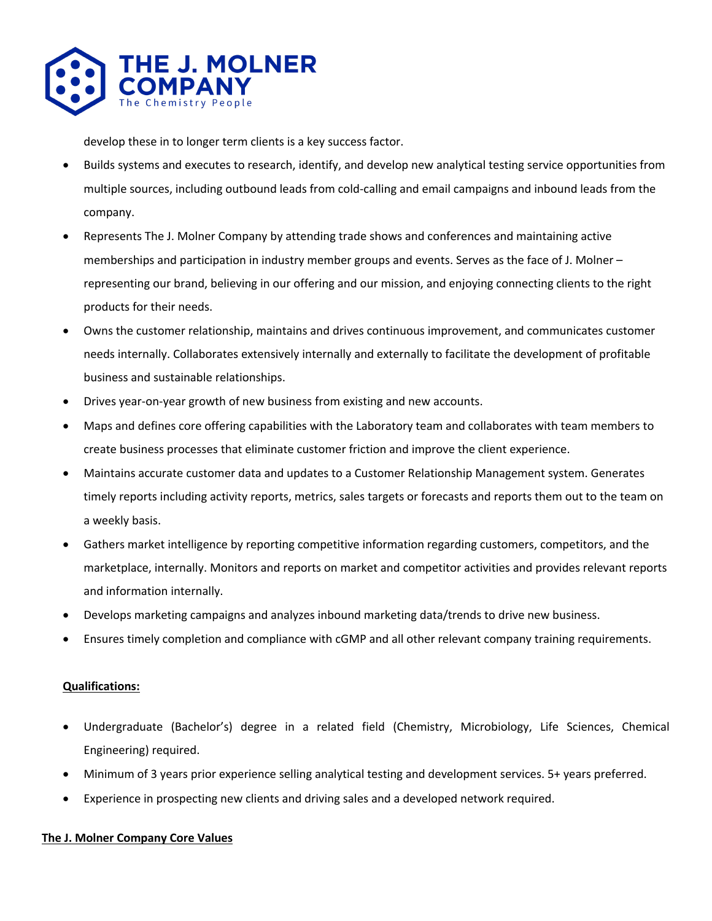

develop these in to longer term clients is a key success factor.

- Builds systems and executes to research, identify, and develop new analytical testing service opportunities from multiple sources, including outbound leads from cold-calling and email campaigns and inbound leads from the company.
- Represents The J. Molner Company by attending trade shows and conferences and maintaining active memberships and participation in industry member groups and events. Serves as the face of J. Molner – representing our brand, believing in our offering and our mission, and enjoying connecting clients to the right products for their needs.
- Owns the customer relationship, maintains and drives continuous improvement, and communicates customer needs internally. Collaborates extensively internally and externally to facilitate the development of profitable business and sustainable relationships.
- Drives year-on-year growth of new business from existing and new accounts.
- Maps and defines core offering capabilities with the Laboratory team and collaborates with team members to create business processes that eliminate customer friction and improve the client experience.
- Maintains accurate customer data and updates to a Customer Relationship Management system. Generates timely reports including activity reports, metrics, sales targets or forecasts and reports them out to the team on a weekly basis.
- Gathers market intelligence by reporting competitive information regarding customers, competitors, and the marketplace, internally. Monitors and reports on market and competitor activities and provides relevant reports and information internally.
- Develops marketing campaigns and analyzes inbound marketing data/trends to drive new business.
- Ensures timely completion and compliance with cGMP and all other relevant company training requirements.

## **Qualifications:**

- Undergraduate (Bachelor's) degree in a related field (Chemistry, Microbiology, Life Sciences, Chemical Engineering) required.
- Minimum of 3 years prior experience selling analytical testing and development services. 5+ years preferred.
- Experience in prospecting new clients and driving sales and a developed network required.

## **The J. Molner Company Core Values**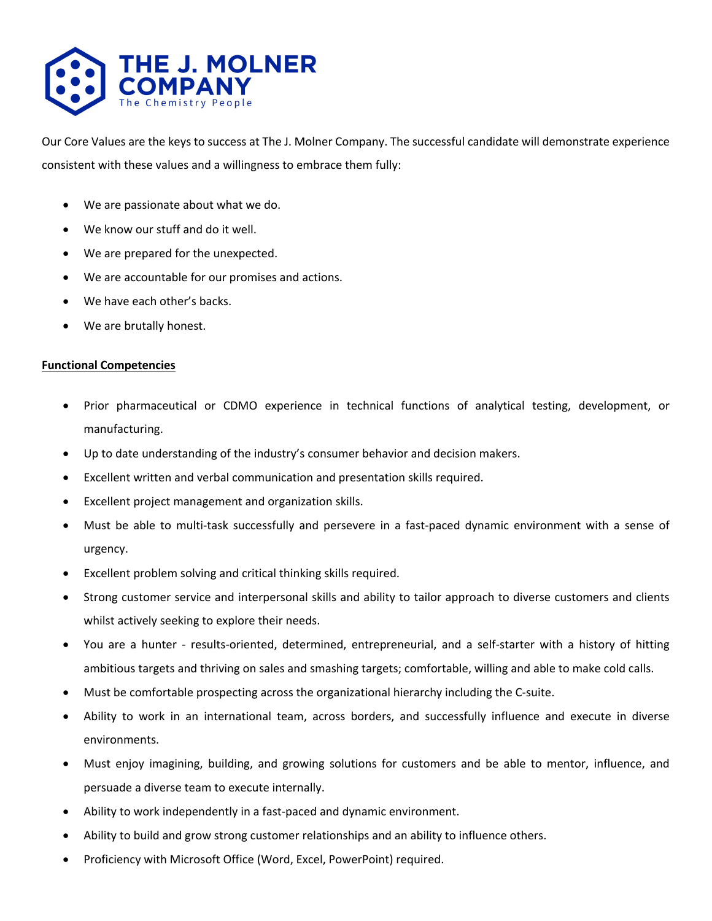

Our Core Values are the keys to success at The J. Molner Company. The successful candidate will demonstrate experience consistent with these values and a willingness to embrace them fully:

- We are passionate about what we do.
- We know our stuff and do it well.
- We are prepared for the unexpected.
- We are accountable for our promises and actions.
- We have each other's backs.
- We are brutally honest.

#### **Functional Competencies**

- Prior pharmaceutical or CDMO experience in technical functions of analytical testing, development, or manufacturing.
- Up to date understanding of the industry's consumer behavior and decision makers.
- Excellent written and verbal communication and presentation skills required.
- Excellent project management and organization skills.
- Must be able to multi-task successfully and persevere in a fast-paced dynamic environment with a sense of urgency.
- Excellent problem solving and critical thinking skills required.
- Strong customer service and interpersonal skills and ability to tailor approach to diverse customers and clients whilst actively seeking to explore their needs.
- You are a hunter results-oriented, determined, entrepreneurial, and a self-starter with a history of hitting ambitious targets and thriving on sales and smashing targets; comfortable, willing and able to make cold calls.
- Must be comfortable prospecting across the organizational hierarchy including the C-suite.
- Ability to work in an international team, across borders, and successfully influence and execute in diverse environments.
- Must enjoy imagining, building, and growing solutions for customers and be able to mentor, influence, and persuade a diverse team to execute internally.
- Ability to work independently in a fast-paced and dynamic environment.
- Ability to build and grow strong customer relationships and an ability to influence others.
- Proficiency with Microsoft Office (Word, Excel, PowerPoint) required.